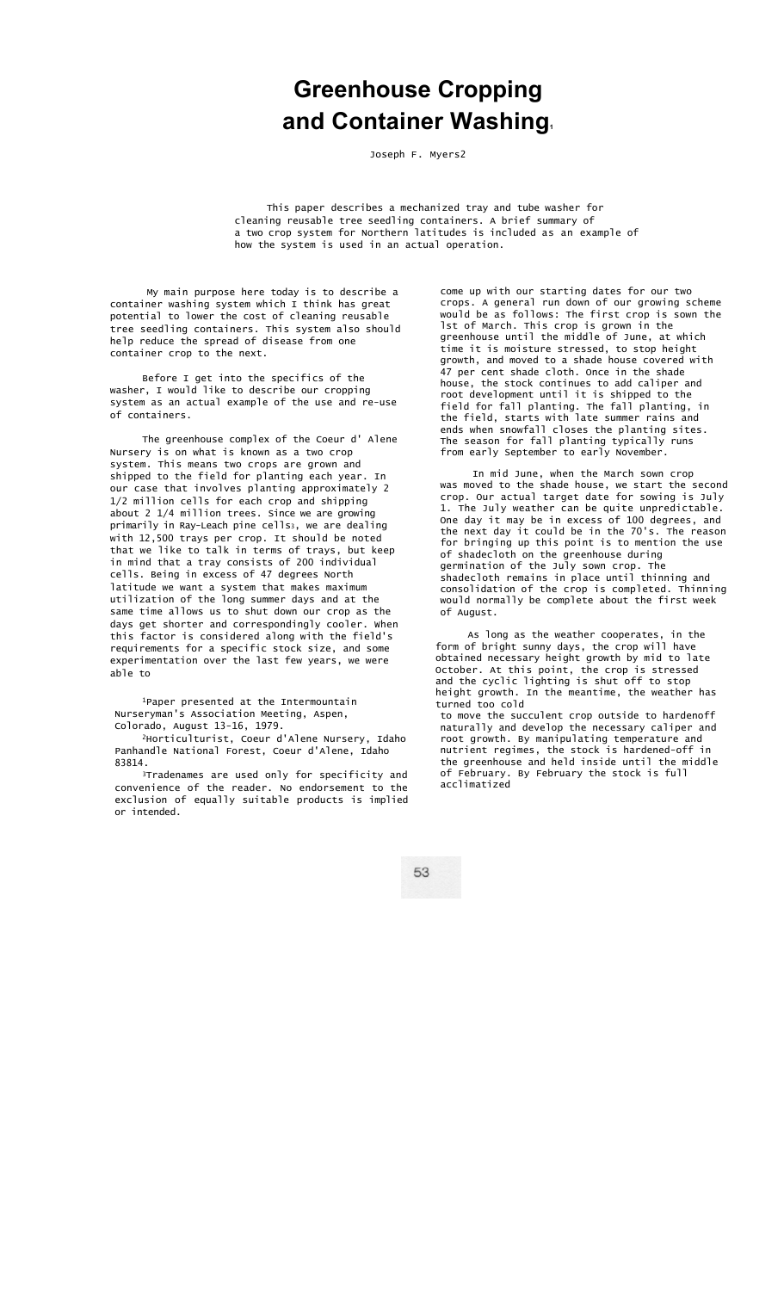## **Greenhouse Cropping and Container Washing.**

Joseph F. Myers2

This paper describes a mechanized tray and tube washer for cleaning reusable tree seedling containers. A brief summary of a two crop system for Northern latitudes is included as an example of how the system is used in an actual operation.

My main purpose here today is to describe a container washing system which I think has great potential to lower the cost of cleaning reusable tree seedling containers. This system also should help reduce the spread of disease from one container crop to the next.

Before I get into the specifics of the washer, I would like to describe our cropping system as an actual example of the use and re-use of containers.

The greenhouse complex of the Coeur d' Alene Nursery is on what is known as a two crop system. This means two crops are grown and shipped to the field for planting each year. In our case that involves planting approximately 2 1/2 million cells for each crop and shipping about 2 1/4 million trees. Since we are growing primarily in Ray-Leach pine cells<sub>3</sub>, we are dealing with 12,500 trays per crop. It should be noted that we like to talk in terms of trays, but keep in mind that a tray consists of 200 individual cells. Being in excess of 47 degrees North latitude we want a system that makes maximum utilization of the long summer days and at the same time allows us to shut down our crop as the days get shorter and correspondingly cooler. When this factor is considered along with the field's requirements for a specific stock size, and some experimentation over the last few years, we were able to

1Paper presented at the Intermountain Nurseryman's Association Meeting, Aspen, Colorado, August 13-16, 1979.

2Horticulturist, Coeur d'Alene Nursery, Idaho Panhandle National Forest, Coeur d'Alene, Idaho 83814.

3Tradenames are used only for specificity and convenience of the reader. No endorsement to the exclusion of equally suitable products is implied or intended.

come up with our starting dates for our two crops. A general run down of our growing scheme would be as follows: The first crop is sown the lst of March. This crop is grown in the greenhouse until the middle of June, at which time it is moisture stressed, to stop height growth, and moved to a shade house covered with 47 per cent shade cloth. Once in the shade house, the stock continues to add caliper and root development until it is shipped to the field for fall planting. The fall planting, in the field, starts with late summer rains and ends when snowfall closes the planting sites. The season for fall planting typically runs from early September to early November.

In mid June, when the March sown crop was moved to the shade house, we start the second crop. Our actual target date for sowing is July 1. The July weather can be quite unpredictable. One day it may be in excess of 100 degrees, and the next day it could be in the 70's. The reason for bringing up this point is to mention the use of shadecloth on the greenhouse during germination of the July sown crop. The shadecloth remains in place until thinning and consolidation of the crop is completed. Thinning would normally be complete about the first week of August.

As long as the weather cooperates, in the form of bright sunny days, the crop will have obtained necessary height growth by mid to late October. At this point, the crop is stressed and the cyclic lighting is shut off to stop height growth. In the meantime, the weather has turned too cold to move the succulent crop outside to hardenoff naturally and develop the necessary caliper and root growth. By manipulating temperature and nutrient regimes, the stock is hardened-off in the greenhouse and held inside until the middle of February. By February the stock is full acclimatized

53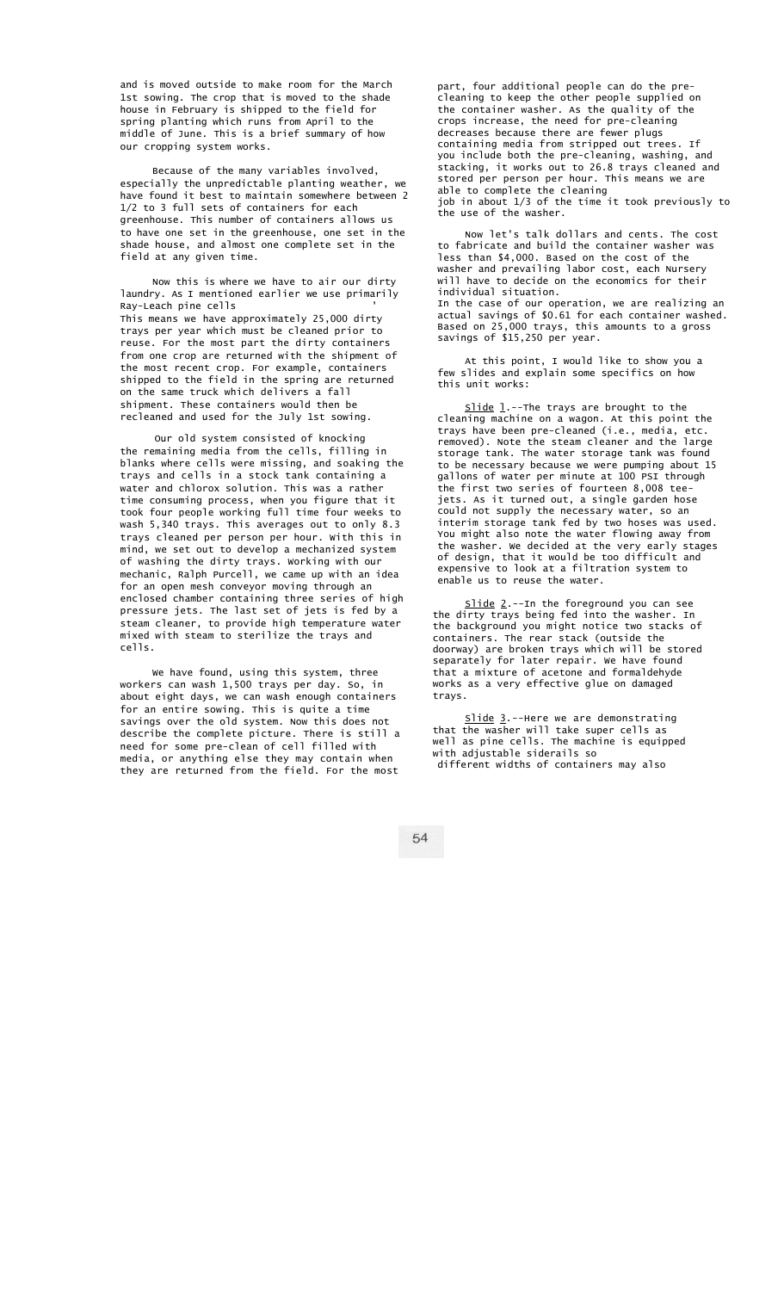and is moved outside to make room for the March 1st sowing. The crop that is moved to the shade house in February is shipped to the field for spring planting which runs from April to the middle of June. This is a brief summary of how our cropping system works.

Because of the many variables involved, especially the unpredictable planting weather, we have found it best to maintain somewhere between 2 1/2 to 3 full sets of containers for each greenhouse. This number of containers allows us to have one set in the greenhouse, one set in the shade house, and almost one complete set in the field at any given time.

Now this is where we have to air our dirty laundry. As I mentioned earlier we use primarily Ray-Leach pine cells ' This means we have approximately 25,000 dirty trays per year which must be cleaned prior to reuse. For the most part the dirty containers from one crop are returned with the shipment of the most recent crop. For example, containers shipped to the field in the spring are returned on the same truck which delivers a fall shipment. These containers would then be recleaned and used for the July 1st sowing.

Our old system consisted of knocking the remaining media from the cells, filling in blanks where cells were missing, and soaking the trays and cells in a stock tank containing a water and chlorox solution. This was a rather time consuming process, when you figure that it took four people working full time four weeks to wash 5,340 trays. This averages out to only 8.3 trays cleaned per person per hour. With this in mind, we set out to develop a mechanized system of washing the dirty trays. Working with our mechanic, Ralph Purcell, we came up with an idea for an open mesh conveyor moving through an enclosed chamber containing three series of high pressure jets. The last set of jets is fed by a steam cleaner, to provide high temperature water mixed with steam to sterilize the trays and cells.

We have found, using this system, three workers can wash 1,500 trays per day. So, in about eight days, we can wash enough containers for an entire sowing. This is quite a time savings over the old system. Now this does not describe the complete picture. There is still a need for some pre-clean of cell filled with media, or anything else they may contain when they are returned from the field. For the most

part, four additional people can do the precleaning to keep the other people supplied on the container washer. As the quality of the crops increase, the need for pre-cleaning decreases because there are fewer plugs containing media from stripped out trees. If you include both the pre-cleaning, washing, and stacking, it works out to 26.8 trays cleaned and stored per person per hour. This means we are able to complete the cleaning job in about 1/3 of the time it took previously to the use of the washer.

Now let's talk dollars and cents. The cost to fabricate and build the container washer was less than \$4,000. Based on the cost of the washer and prevailing labor cost, each Nursery will have to decide on the economics for their individual situation. In the case of our operation, we are realizing an actual savings of \$0.61 for each container washed. Based on 25,000 trays, this amounts to a gross savings of \$15,250 per year.

At this point, I would like to show you a few slides and explain some specifics on how this unit works:

 $S$ lide  $l$ .--The trays are brought to the cleaning machine on a wagon. At this point the trays have been pre-cleaned (i.e., media, etc. removed). Note the steam cleaner and the large storage tank. The water storage tank was found to be necessary because we were pumping about 15 gallons of water per minute at 100 PSI through the first two series of fourteen 8,008 teejets. As it turned out, a single garden hose could not supply the necessary water, so an interim storage tank fed by two hoses was used. You might also note the water flowing away from the washer. We decided at the very early stages of design, that it would be too difficult and expensive to look at a filtration system to enable us to reuse the water.

Slide 2.--In the foreground you can see the dirty trays being fed into the washer. In the background you might notice two stacks of containers. The rear stack (outside the doorway) are broken trays which will be stored separately for later repair. We have found that a mixture of acetone and formaldehyde works as a very effective glue on damaged trays.

Slide 3.--Here we are demonstrating that the washer will take super cells as well as pine cells. The machine is equipped with adjustable siderails so different widths of containers may also

54